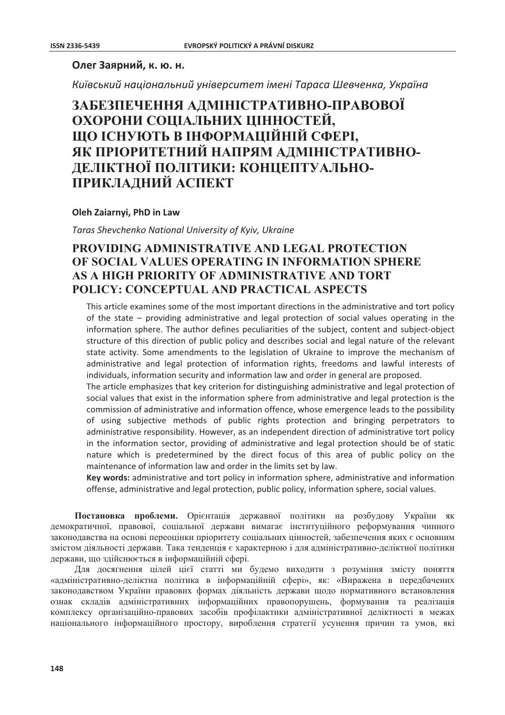### Олег Заярний, к. ю. н.

Київський національний університет імені Тараса Шевченка, Україна

# ЗАБЕЗПЕЧЕННЯ АДМІНІСТРАТИВНО-ПРАВОВОЇ ОХОРОНИ СОЦІАЛЬНИХ ЦІННОСТЕЙ, ШО ІСНУЮТЬ В ІНФОРМАШЙНІЙ СФЕРІ. ЯК ПРІОРИТЕТНИЙ НАПРЯМ АДМІНІСТРАТИВНО-ДЕЛІКТНОЇ ПОЛІТИКИ: КОНЦЕПТУАЛЬНО-ПРИКЛАДНИЙ АСПЕКТ

#### Oleh Zaiarnyi, PhD in Law

Taras Shevchenko National University of Kyiv, Ukraine

## **PROVIDING ADMINISTRATIVE AND LEGAL PROTECTION** OF SOCIAL VALUES OPERATING IN INFORMATION SPHERE AS A HIGH PRIORITY OF ADMINISTRATIVE AND TORT POLICY: CONCEPTUAL AND PRACTICAL ASPECTS

This article examines some of the most important directions in the administrative and tort policy of the state – providing administrative and legal protection of social values operating in the information sphere. The author defines peculiarities of the subject, content and subject-object structure of this direction of public policy and describes social and legal nature of the relevant state activity. Some amendments to the legislation of Ukraine to improve the mechanism of administrative and legal protection of information rights, freedoms and lawful interests of individuals, information security and information law and order in general are proposed.

The article emphasizes that key criterion for distinguishing administrative and legal protection of social values that exist in the information sphere from administrative and legal protection is the commission of administrative and information offence, whose emergence leads to the possibility of using subjective methods of public rights protection and bringing perpetrators to administrative responsibility. However, as an independent direction of administrative tort policy in the information sector, providing of administrative and legal protection should be of static nature which is predetermined by the direct focus of this area of public policy on the maintenance of information law and order in the limits set by law.

Key words: administrative and tort policy in information sphere, administrative and information offense, administrative and legal protection, public policy, information sphere, social values.

Постановка проблеми. Орієнтація державної політики на розбудову України як лемократичної, правової, сопіальної держави вимагає інституційного реформування чинного законодавства на основі переоцінки пріоритету соціальних цінностей, забезпечення яких є основним змістом діяльності держави. Така тенденція є характерною і для адміністративно-деліктної політики держави, що здійснюється в інформаційній сфері.

Для досягнення цілей цієї статті ми будемо виходити з розуміння змісту поняття «адміністративно-деліктна політика в інформаційній сфері», як: «Виражена в передбачених законодавством України правових формах діяльність держави щодо нормативного встановлення ознак складів адміністративних інформаційних правопорушень, формування та реалізація комплексу організаційно-правових засобів профілактики алміністративної леліктності в межах національного інформаційного простору, вироблення стратегії усунення причин та умов, які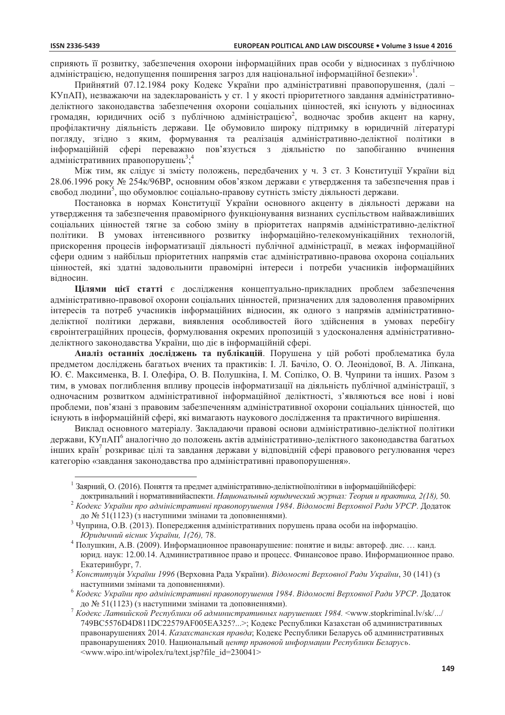сприяють її розвитку, забезпечення охорони інформаційних прав особи у вілносинах з публічною адміністрацією, недопущення поширення загроз для національної інформаційної безпеки»<sup>1</sup>.

Прийнятий 07.12.1984 року Кодекс України про адміністративні правопорушення, (далі -КУпАП), незважаючи на задекларованість у ст. 1 у якості пріоритетного завдання адміністративноделіктного законодавства забезпечення охорони соціальних цінностей, які існують у відносинах громадян, юридичних осіб з публічною адміністрацією<sup>2</sup>, водночас зробив акцент на карну, профілактичну діяльність держави. Це обумовило широку підтримку в юридичній літературі погляду, згідно з яким, формування та реалізація адміністративно-деліктної політики в інформаційній сфері переважно пов'язується з діяльністю по запобіганню вчинення адміністративних правопорушень<sup>3,4</sup>

Між тим, як слідує зі змісту положень, передбачених у ч. 3 ст. 3 Конституції України від 28.06.1996 року № 254к/96ВР, основним обов'язком держави є утвердження та забезпечення прав і свобод людини<sup>5</sup>, що обумовлює соціально-правову сутність змісту діяльності держави.

Постановка в нормах Конституції України основного акценту в діяльності держави на утвердження та забезпечення правомірного функціонування визнаних суспільством найважливіших соціальних цінностей тягне за собою зміну в пріоритетах напрямів адміністративно-деліктної політики. В умовах інтенсивного розвитку інформаційно-телекомунікаційних технологій, прискорення процесів інформатизації діяльності публічної адміністрації, в межах інформаційної сфери одним з найбільш пріоритетних напрямів стає адміністративно-правова охорона соціальних цінностей, які здатні задовольнити правомірні інтереси і потреби учасників інформаційних відносин.

Цілями цієї статті є дослідження концептуально-прикладних проблем забезпечення адміністративно-правової охорони соціальних цінностей, призначених для задоволення правомірних інтересів та потреб учасників інформаційних відносин, як одного з напрямів адміністративноделіктної політики держави, виявлення особливостей його здійснення в умовах перебігу євроінтеграційних процесів, формулювання окремих пропозицій з удосконалення адміністративноделіктного законодавства України, що діє в інформаційній сфері.

Аналіз останніх досліджень та публікацій. Порушена у цій роботі проблематика була предметом досліджень багатьох вчених та практиків: І. Л. Бачіло, О. О. Леонідової, В. А. Ліпкана, Ю. Є. Максименка, В. І. Олефіра, О. В. Полушкіна, І. М. Сопілко, О. В. Чуприни та інших. Разом з тим, в умовах поглиблення впливу процесів інформатизації на діяльність публічної адміністрації, з одночасним розвитком адміністративної інформаційної деліктності, з'являються все нові і нові проблеми, пов'язані з правовим забезпеченням адміністративної охорони соціальних цінностей, що існують в інформаційній сфері, які вимагають наукового дослідження та практичного вирішення.

Виклад основного матеріалу. Закладаючи правові основи адміністративно-деліктної політики держави, КУпАП<sup>6</sup> аналогічно до положень актів адміністративно-деліктного законодавства багатьох інших країн<sup>7</sup> розкриває цілі та завдання держави у відповідній сфері правового регулювання через категорію «завлання законолавства про алміністративні правопорушення».

<sup>&</sup>lt;sup>1</sup> Заярний, О. (2016). Поняття та предмет адміністративно-деліктноїполітики в інформаційнійсфері:

доктринальний і нормативнийаспекти. Национальный юридический журнал: Теория и практика, 2(18), 50. <sup>2</sup> Кодекс України про адміністративні правопорушення 1984. Відомості Верховної Ради УРСР. Додаток

до № 51(1123) (з наступними змінами та доповненнями).

<sup>&</sup>lt;sup>3</sup> Чуприна, О.В. (2013). Попередження адміністративних порушень права особи на інформацію. Юридичний вісник України, 1(26), 78.

Полушкин, А.В. (2009). Информационное правонарушение: понятие и вилы: автореф. лис. ... канд. юрид. наук: 12.00.14. Административное право и процесс. Финансовое право. Информационное право. Екатеринбург, 7.

<sup>&</sup>lt;sup>5</sup> Конституція України 1996 (Верховна Рада України). Відомості Верховної Ради України, 30 (141) (з наступними змінами та доповненнями).

Кодекс України про адміністративні правопорушення 1984. Відомості Верховної Ради УРСР. Додаток до № 51(1123) (з наступними змінами та доповненнями).

 $\frac{7}{7}$ Кодекс Латвийской Республики об административных нарушениях 1984. <www.stopkriminal.lv/sk/.../ 749BC5576D4D811DC22579AF005EA325?...>; Кодекс Республики Казахстан об административных правонарушениях 2014. Казахстанская правда; Кодекс Республики Беларусь об административных правонарушениях 2010. Национальный центр правовой информации Республики Беларусь. <www.wipo.int/wipolex/ru/text.jsp?file id=230041>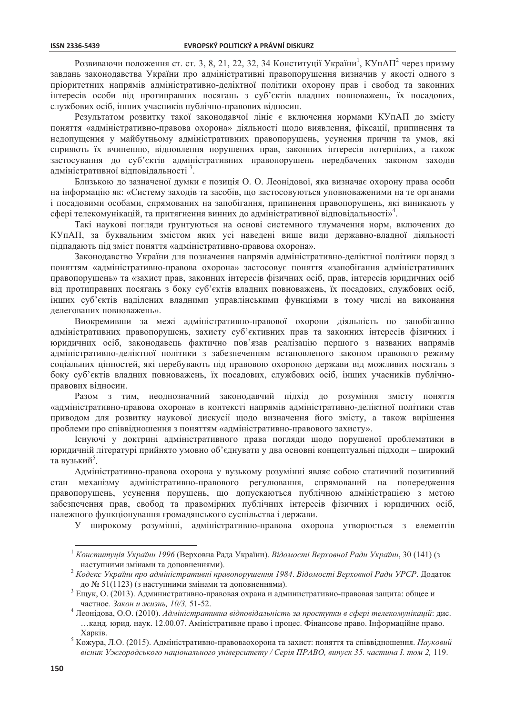Розвиваючи положення ст. ст. 3, 8, 21, 22, 32, 34 Конституції України<sup>1</sup>, КУпАП<sup>2</sup> через призму завдань законодавства України про адміністративні правопорушення визначив у якості одного з пріоритетних напрямів адміністративно-деліктної політики охорону прав і свобод та законних інтересів особи від протиправних посягань з суб'єктів владних повноважень, їх посадових, службових осіб, інших учасників публічно-правових відносин.

Результатом розвитку такої законодавчої лініє є включення нормами КУпАП до змісту поняття «адміністративно-правова охорона» діяльності щодо виявлення, фіксації, припинення та недопущення у майбутньому адміністративних правопорушень, усунення причин та умов, які сприяють їх вчиненню, відновлення порушених прав, законних інтересів потерпілих, а також застосування до суб'єктів адміністративних правопорушень передбачених законом заходів адміністративної відповідальності<sup>3</sup>.

Близькою до зазначеної думки є позиція О. О. Леонідової, яка визначає охорону права особи на інформацію як: «Систему заходів та засобів, що застосовуються уповноваженими на те органами і посадовими особами, спрямованих на запобігання, припинення правопорушень, які виникають у сфері телекомунікацій, та притягнення винних до адміністративної відповідальності»<sup>4</sup>.

Такі наукові погляди ґрунтуються на основі системного тлумачення норм, включених до КУпАП, за буквальним змістом яких усі наведені вище види державно-владної діяльності підпадають під зміст поняття «адміністративно-правова охорона».

Законодавство України для позначення напрямів адміністративно-деліктної політики поряд з поняттям «адміністративно-правова охорона» застосовує поняття «запобігання адміністративних правопорушень» та «захист прав, законних інтересів фізичних осіб, прав, інтересів юридичних осіб від протиправних посягань з боку суб'єктів владних повноважень, їх посадових, службових осіб, інших суб'єктів наділених владними управлінськими функціями в тому числі на виконання лелегованих повноважень».

Виокремивши за межі адміністративно-правової охорони діяльність по запобіганню адміністративних правопорушень, захисту суб'єктивних прав та законних інтересів фізичних і юридичних осіб, законодавець фактично пов'язав реалізацію першого з названих напрямів адміністративно-деліктної політики з забезпеченням встановленого законом правового режиму соціальних цінностей, які перебувають під правовою охороною держави від можливих посягань з боку суб'єктів владних повноважень, їх посадових, службових осіб, інших учасників публічноправових відносин.

Разом з тим, неоднозначний законодавчий підхід до розуміння змісту поняття «адміністративно-правова охорона» в контексті напрямів адміністративно-деліктної політики став приводом для розвитку наукової дискусії щодо визначення його змісту, а також вирішення проблеми про співвідношення з поняттям «адміністративно-правового захисту».

Існуючі у доктрині адміністративного права погляди щодо порушеної проблематики в юридичній літературі прийнято умовно об'єднувати у два основні концептуальні підходи - широкий та вузький<sup>5</sup>.

Алміністративно-правова охорона у вузькому розумінні являє собою статичний позитивний механізму адміністративно-правового регулювання, спрямований на попередження стан правопорушень, усунення порушень, що допускаються публічною адміністрацією з метою забезпечення прав, свобод та правомірних публічних інтересів фізичних і юридичних осіб, належного функціонування громадянського суспільства і держави.

У широкому розумінні, адміністративно-правова охорона утворюється з елементів

<sup>&</sup>lt;sup>1</sup> Конституція України 1996 (Верховна Рада України). Відомості Верховної Ради України, 30 (141) (з наступними змінами та доповненнями).

<sup>&</sup>lt;sup>2</sup> Кодекс України про адміністративні правопорушення 1984. Відомості Верховної Ради УРСР. Додаток до № 51(1123) (з наступними змінами та доповненнями).

Ещук, О. (2013). Административно-правовая охрана и административно-правовая защита: общее и частное. Закон и жизнь, 10/3, 51-52.

<sup>4</sup> Леонідова, О.О. (2010). Адміністративна відповідальність за проступки в сфері телекомунікацій: дис. ... канд. юрид. наук. 12.00.07. Аміністративне право і процес. Фінансове право. Інформаційне право. Харків.

<sup>&</sup>lt;sup>5</sup> Кожура, Л.О. (2015). Адміністративно-правоваохорона та захист: поняття та співвідношення. Науковий вісник Ужгородського національного університету / Серія ПРАВО, випуск 35. частина І. том 2, 119.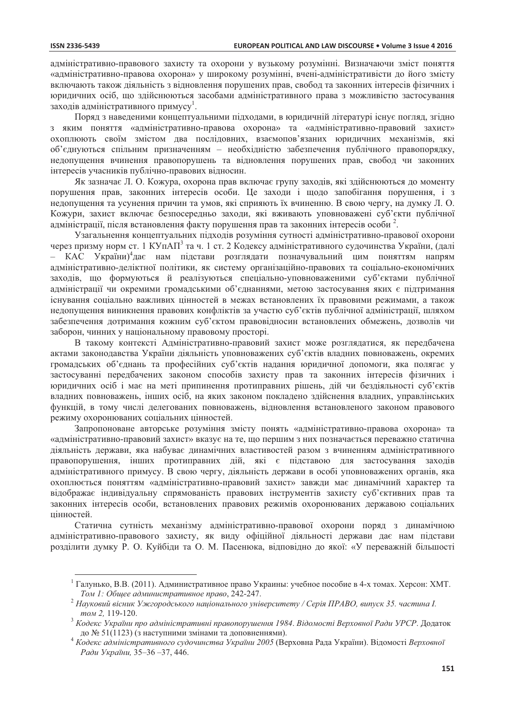адміністративно-правового захисту та охорони у вузькому розумінні. Визначаючи зміст поняття «адміністративно-правова охорона» у широкому розумінні, вчені-адміністративісти до його змісту включають також діяльність з відновлення порушених прав, свобод та законних інтересів фізичних і юридичних осіб, що здійснюються засобами адміністративного права з можливістю застосування заходів адміністративного примусу<sup>1</sup>.

Поряд з наведеними концептуальними підходами, в юридичній літературі існує погляд, згідно з яким поняття «адміністративно-правова охорона» та «адміністративно-правовий захист» охоплюють своїм змістом два послідовних, взаємопов'язаних юридичних механізмів, які об'єднуються спільним призначенням - необхідністю забезпечення публічного правопорядку, недопущення вчинення правопорушень та відновлення порушених прав, свобод чи законних інтересів учасників публічно-правових відносин.

Як зазначає Л. О. Кожура, охорона прав включає групу заходів, які здійснюються до моменту порушення прав, законних інтересів особи. Це заходи і щодо запобігання порушення, і з недопущення та усунення причин та умов, які сприяють їх вчиненню. В свою чергу, на думку Л. О. Кожури, захист включає безпосередньо заходи, які вживають уповноважені суб'єкти публічної адміністрації, після встановлення факту порушення прав та законних інтересів особи<sup>2</sup>.

Узагальнення концептуальних підходів розуміння сутності адміністративно-правової охорони через призму норм ст. 1 КУпАП<sup>3</sup> та ч. 1 ст. 2 Кодексу адміністративного судочинства України, (далі – КАС України)<sup>4</sup>дає нам підстави розглядати позначувальний цим поняттям напрям адміністративно-деліктної політики, як систему організаційно-правових та соціально-економічних заходів, що формуються й реалізуються спеціально-уповноваженими суб'єктами публічної адміністрації чи окремими громадськими об'єднаннями, метою застосування яких є підтримання існування соціально важливих цінностей в межах встановлених їх правовими режимами, а також недопущення виникнення правових конфліктів за участю суб'єктів публічної адміністрації, шляхом забезпечення дотримання кожним суб'єктом правовідносин встановлених обмежень, дозволів чи заборон, чинних у національному правовому просторі.

В такому контексті Адміністративно-правовий захист може розглядатися, як передбачена актами законодавства України діяльність уповноважених суб'єктів владних повноважень, окремих громадських об'єднань та професійних суб'єктів надання юридичної допомоги, яка полягає у застосуванні передбачених законом способів захисту прав та законних інтересів фізичних і юридичних осіб і має на меті припинення протиправних рішень, дій чи бездіяльності суб'єктів владних повноважень, інших осіб, на яких законом покладено здійснення владних, управлінських функцій, в тому числі делегованих повноважень, відновлення встановленого законом правового режиму охоронюваних соціальних цінностей.

Запропоноване авторське розуміння змісту понять «адміністративно-правова охорона» та «адміністративно-правовий захист» вказує на те, що першим з них позначається переважно статична діяльність держави, яка набуває динамічних властивостей разом з вчиненням адміністративного правопорушення, інших протиправних дій, які є підставою для застосування заходів алміністративного примусу. В свою чергу, ліяльність держави в особі уповноважених органів, яка охоплюється поняттям «адміністративно-правовий захист» завжди має динамічний характер та відображає індивідуальну спрямованість правових інструментів захисту суб'єктивних прав та законних інтересів особи, встановлених правових режимів охоронюваних державою соціальних цінностей.

Статична сутність механізму адміністративно-правової охорони поряд з динамічною адміністративно-правового захисту, як виду офіційної діяльності держави дає нам підстави розділити думку Р. О. Куйбіди та О. М. Пасенюка, відповідно до якої: «У переважній більшості

<sup>&</sup>lt;sup>1</sup> Галунько, В.В. (2011). Административное право Украины: учебное пособие в 4-х томах. Херсон: ХМТ. Том 1: Обшее административное право, 242-247.

<sup>&</sup>lt;sup>2</sup> Науковий вісник Ужгородського національного університету / Серія ПРАВО, випуск 35. частина I. том 2, 119-120.

<sup>&</sup>lt;sup>3</sup> Кодекс України про адміністративні правопорушення 1984. Відомості Верховної Ради УРСР. Додаток до № 51(1123) (з наступними змінами та доповненнями).

 $^4$  Кодекс адміністративного судочинства України 2005 (Верховна Рада України). Відомості Верховної Ради України, 35-36-37, 446.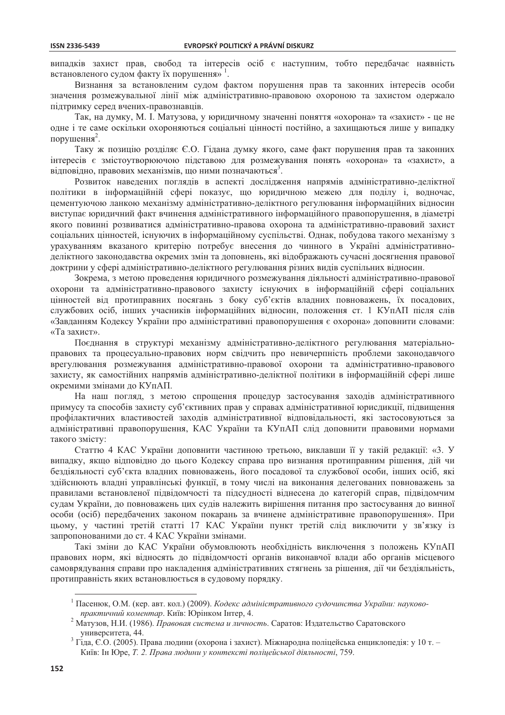випадків захист прав, свобод та інтересів осіб є наступним, тобто передбачає наявність встановленого судом факту їх порушення»<sup>1</sup>.

Визнання за встановленим судом фактом порушення прав та законних інтересів особи значення розмежувальної лінії між адміністративно-правовою охороною та захистом одержало підтримку серед вчених-правознавців.

Так, на думку, М. I. Матузова, у юридичному значенні поняття «охорона» та «захист» - це не одне і те саме оскільки охороняються соціальні цінності постійно, а захищаються лише у випадку порушення<sup>2</sup>.

Таку ж позицію розділяє Є.О. Гідана думку якого, саме факт порушення прав та законних інтересів є змістоутворюючою підставою для розмежування понять «охорона» та «захист», а відповідно, правових механізмів, що ними позначаються<sup>3</sup>.

Розвиток наведених поглядів в аспекті дослідження напрямів адміністративно-деліктної політики в інформаційній сфері показує, що юридичною межею для поділу і, водночас, цементуючою ланкою механізму адміністративно-деліктного регулювання інформаційних відносин виступає юридичний факт вчинення адміністративного інформаційного правопорушення, в діаметрі якого повинні розвиватися адміністративно-правова охорона та адміністративно-правовий захист соціальних цінностей, існуючих в інформаційному суспільстві. Однак, побудова такого механізму з урахуванням вказаного критерію потребує внесення до чинного в Україні адміністративноделіктного законодавства окремих змін та доповнень, які відображають сучасні досягнення правової доктрини у сфері адміністративно-деліктного регулювання різних видів суспільних відносин.

Зокрема, з метою проведення юридичного розмежування діяльності адміністративно-правової охорони та адміністративно-правового захисту існуючих в інформаційній сфері соціальних цінностей від протиправних посягань з боку суб'єктів владних повноважень, їх посадових, службових осіб, інших учасників інформаційних відносин, положення ст. 1 КУпАП після слів «Завданням Кодексу України про адміністративні правопорушення є охорона» доповнити словами: «Та захист».

Поєднання в структурі механізму адміністративно-деліктного регулювання матеріальноправових та процесуально-правових норм свідчить про невичерпність проблеми законодавчого врегулювання розмежування адміністративно-правової охорони та адміністративно-правового захисту, як самостійних напрямів адміністративно-деліктної політики в інформаційній сфері лише окремими змінами до КУпАП.

На наш погляд, з метою спрощення процедур застосування заходів адміністративного примусу та способів захисту суб'єктивних прав у справах адміністративної юрисдикції, підвищення профілактичних властивостей заходів адміністративної відповідальності, які застосовуються за адміністративні правопорушення, КАС України та КУпАП слід доповнити правовими нормами такого змісту:

Статтю 4 КАС України доповнити частиною третьою, виклавши її у такій редакції: «3. У випадку, якщо відповідно до цього Кодексу справа про визнання протиправним рішення, дій чи безліяльності суб'єкта влалних повноважень, його посалової та службової особи, інших осіб, які здійснюють владні управлінські функції, в тому числі на виконання делегованих повноважень за правилами встановленої підвідомчості та підсудності віднесена до категорій справ, підвідомчим судам України, до повноважень цих судів належить вирішення питання про застосування до винної особи (осіб) передбачених законом покарань за вчинене адміністративне правопорушення». При цьому, у частині третій статті 17 КАС України пункт третій слід виключити у зв'язку із запропонованими до ст. 4 КАС України змінами.

Такі зміни до КАС України обумовлюють необхідність виключення з положень КУпАП правових норм, які вілносять ло пілвіломчості органів виконавчої влали або органів місцевого самоврядування справи про накладення адміністративних стягнень за рішення, дії чи бездіяльність, протиправність яких встановлюється в судовому порядку.

<sup>&</sup>lt;sup>1</sup> Пасенюк, О.М. (кер. авт. кол.) (2009). Кодекс адміністративного судочинства України: науковопрактичний коментар. Київ: Юрінком Інтер, 4.

Матузов, Н.И. (1986). Правовая система и личность. Саратов: Издательство Саратовского университета, 44.

<sup>&</sup>lt;sup>3</sup> Гіда, Є.О. (2005). Права людини (охорона і захист). Міжнародна поліцейська енциклопедія: у 10 т. -Київ: Ін Юре, Т. 2. Права людини у контексті поліцейської діяльності, 759.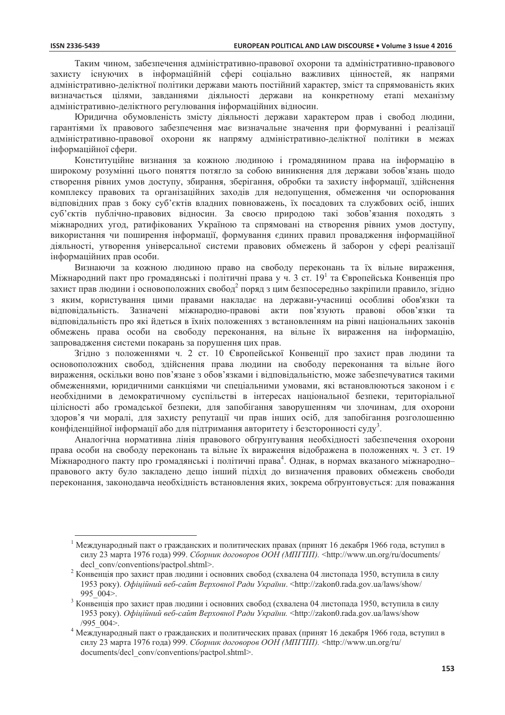Таким чином, забезпечення алміністративно-правової охорони та алміністративно-правового захисту існуючих в інформаційній сфері соціально важливих цінностей, як напрями адміністративно-деліктної політики держави мають постійний характер, зміст та спрямованість яких визначається цілями, завданнями діяльності держави на конкретному етапі механізму адміністративно-деліктного регулювання інформаційних відносин.

Юрилична обумовленість змісту ліяльності держави характером прав і свобод людини. гарантіями їх правового забезпечення має визначальне значення при формуванні і реалізації адміністративно-правової охорони як напряму адміністративно-деліктної політики в межах інформаційної сфери.

Конституційне визнання за кожною людиною і громадянином права на інформацію в широкому розумінні цього поняття потягло за собою виникнення для держави зобов'язань щодо створення рівних умов доступу, збирання, зберігання, обробки та захисту інформації, здійснення комплексу правових та організаційних заходів для недопущення, обмеження чи оспорювання вілповілних прав з боку суб'єктів влалних повноважень, їх посалових та службових осіб, інших суб'єктів публічно-правових відносин. За своєю природою такі зобов'язання походять з міжнародних угод, ратифікованих Україною та спрямовані на створення рівних умов доступу, використання чи поширення інформації, формування єдиних правил провадження інформаційної діяльності, утворення універсальної системи правових обмежень й заборон у сфері реалізації інформаційних прав особи.

Визнаючи за кожною людиною право на свободу переконань та їх вільне вираження, Міжнародний пакт про громадянські і політичні права у ч. 3 ст. 19<sup>1</sup> та Європейська Конвенція про захист прав людини і основоположних свобод<sup>2</sup> поряд з цим безпосередньо закріпили правило, згідно з яким, користування цими правами накладає на держави-учасниці особливі обов'язки та вілповілальність. Зазначені міжнародно-правові акти пов'язують правові обов'язки та відповідальність про які йдеться в їхніх положеннях з встановленням на рівні національних законів обмежень права особи на свободу переконання, на вільне їх вираження на інформацію, запровадження системи покарань за порушення цих прав.

Згідно з положеннями ч. 2 ст. 10 Європейської Конвенції про захист прав людини та основоположних свобод, здійснення права людини на свободу переконання та вільне його вираження, оскільки воно пов'язане з обов'язками і відповідальністю, може забезпечуватися такими обмеженнями, юридичними санкціями чи спеціальними умовами, які встановлюються законом і є необхідними в демократичному суспільстві в інтересах національної безпеки, територіальної цілісності або громадської безпеки, для запобігання заворушенням чи злочинам, для охорони здоров'я чи моралі, для захисту репутації чи прав інших осіб, для запобігання розголошенню конфіденційної інформації або для підтримання авторитету і безсторонності суду<sup>3</sup>.

Аналогічна нормативна лінія правового обґрунтування необхідності забезпечення охорони права особи на свободу переконань та вільне їх вираження відображена в положеннях ч. 3 ст. 19 Міжнародного пакту про громадянські і політичні права<sup>4</sup>. Однак, в нормах вказаного міжнародноправового акту було закладено дешо інший пілхіл до визначення правових обмежень свободи переконання, законодавча необхідність встановлення яких, зокрема обґрунтовується: для поважання

Международный пакт о гражданских и политических правах (принят 16 декабря 1966 года, вступил в силу 23 марта 1976 года) 999. Сборник договоров ООН (МПГПП). <http://www.un.org/ru/documents/ decl conv/conventions/pactpol.shtml>.

гистенція про захист прав людини і основних свобод (схвалена 04 листопада 1950, вступила в силу 1953 року). Офіційний веб-сайт Верховної Ради України. <http://zakon0.rada.gov.ua/laws/show/ 995 004>.

Конвенијя про захист прав людини і основних свобод (схвалена 04 листопада 1950, вступила в силу 1953 року). Офіційний веб-сайт Верховної Ради України. <http://zakon0.rada.gov.ua/laws/show  $/995$  004>.

Международный пакт о гражданских и политических правах (принят 16 декабря 1966 года, вступил в силу 23 марта 1976 года) 999. Сборник договоров ООН (МПГПП). <http://www.un.org/ru/ documents/decl conv/conventions/pactpol.shtml>.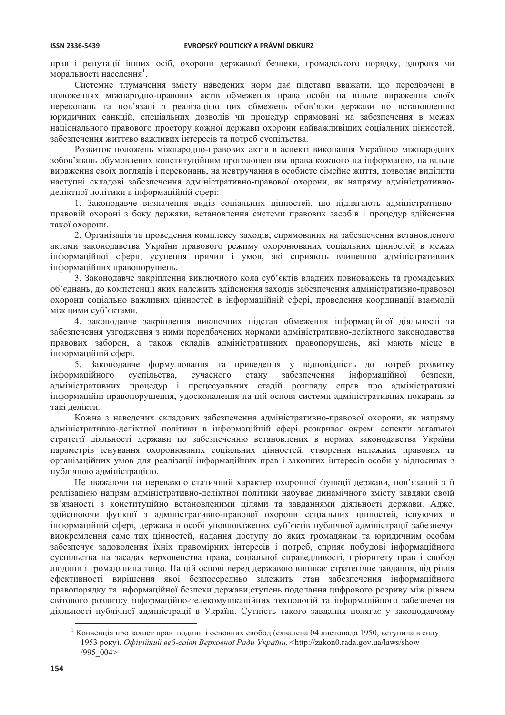прав і репутації інших осіб, охорони державної безпеки, громадського порядку, здоров'я чи моральності населення<sup>1</sup>.

Системне тлумачення змісту наведених норм дає підстави вважати, що передбачені в положеннях міжнародно-правових актів обмеження права особи на вільне вираження своїх переконань та пов'язані з реалізацією цих обмежень обов'язки держави по встановленню юридичних санкцій, спеціальних дозволів чи процедур спрямовані на забезпечення в межах національного правового простору кожної держави охорони найважливіших соціальних цінностей, забезпечення життєво важливих інтересів та потреб суспільства.

Розвиток положень міжнародно-правових актів в аспекті виконання Україною міжнародних зобов'язань обумовлених конституційним проголошенням права кожного на інформацію, на вільне вираження своїх поглядів і переконань, на невтручання в особисте сімейне життя, дозволяє виділити наступні складові забезпечення адміністративно-правової охорони, як напряму адміністративноделіктної політики в інформаційній сфері:

1. Законодавче визначення видів соціальних цінностей, що підлягають адміністративноправовій охороні з боку держави, встановлення системи правових засобів і процедур здійснення такої охорони.

2. Організація та проведення комплексу заходів, спрямованих на забезпечення встановленого актами законодавства України правового режиму охоронюваних соціальних цінностей в межах інформаційної сфери, усунення причин і умов, які сприяють вчиненню адміністративних інформаційних правопорушень.

3. Законодавче закріплення виключного кола суб'єктів владних повноважень та громадських об'єднань, до компетенції яких належить здійснення заходів забезпечення адміністративно-правової охорони соціально важливих цінностей в інформаційній сфері, проведення координації взаємодії між цими суб'єктами.

4. законодавче закріплення виключних підстав обмеження інформаційної діяльності та забезпечення узгодження з ними передбачених нормами адміністративно-деліктного законодавства правових заборон, а також складів адміністративних правопорушень, які мають місце в інформаційній сфері.

5. Законодавче формулювання та приведення у відповідність до потреб розвитку інформаційного суспільства, сучасного стану забезпечення інформаційної безпеки. адміністративних процедур і процесуальних стадій розгляду справ про адміністративні інформаційні правопорушення, удосконалення на цій основі системи адміністративних покарань за такі лелікти.

Кожна з наведених складових забезпечення адміністративно-правової охорони, як напряму адміністративно-деліктної політики в інформаційній сфері розкриває окремі аспекти загальної стратегії діяльності держави по забезпеченню встановлених в нормах законодавства України параметрів існування охоронюваних соціальних цінностей, створення належних правових та організаційних умов для реалізації інформаційних прав і законних інтересів особи у відносинах з публічною алміністрацією.

Не зважаючи на переважно статичний характер охоронної функції держави, пов'язаний з її реалізацією напрям адміністративно-деліктної політики набуває динамічного змісту завдяки своїй зв'язаності з конституційно встановленими цілями та завданнями діяльності держави. Адже, здійснюючи функції з адміністративно-правової охорони соціальних цінностей, існуючих в інформаційній сфері, держава в особі уповноважених суб'єктів публічної адміністрації забезпечує виокремлення саме тих цінностей, надання доступу до яких громадянам та юридичним особам забезпечує задоволення їхніх правомірних інтересів і потреб, сприяє побудові інформаційного суспільства на засадах верховенства права, соціальної справедливості, пріоритету прав і свобод людини і громадянина тощо. На цій основі перед державою виникає стратегічне завдання, від рівня ефективності вирішення якої безпосередньо залежить стан забезпечення інформаційного правопорядку та інформаційної безпеки держави, ступень подолання цифрового розриву між рівнем світового розвитку інформаційно-телекомунікаційних технологій та інформаційного забезпечення діяльності публічної адміністрації в Україні. Сутність такого завдання полягає у законодавчому

<sup>&</sup>lt;sup>1</sup> Конвенція про захист прав людини і основних свобод (схвалена 04 листопада 1950, вступила в силу 1953 року). Офіційний веб-сайт Верховної Ради України. <http://zakon0.rada.gov.ua/laws/show /995 004>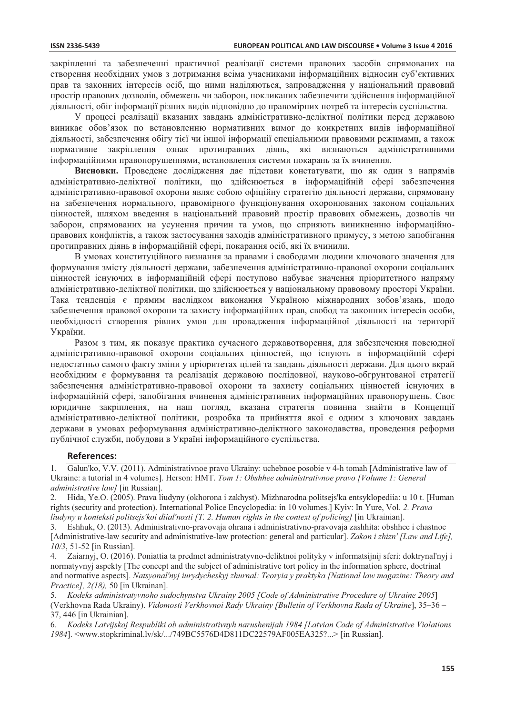закріпленні та забезпеченні практичної реалізації системи правових засобів спрямованих на створення необхідних умов з дотримання всіма учасниками інформаційних відносин суб'єктивних прав та законних інтересів осіб, що ними наділяються, запровадження у національний правовий простір правових дозволів, обмежень чи заборон, покликаних забезпечити здійснення інформаційної діяльності, обіг інформації різних видів відповідно до правомірних потреб та інтересів суспільства.

У процесі реалізації вказаних завдань адміністративно-деліктної політики перед державою виникає обов'язок по встановленню нормативних вимог до конкретних видів інформаційної ліяльності, забезпечення обігу тієї чи іншої інформації спеціальними правовими режимами, а також нормативне закріплення ознак протиправних діянь, які визнаються алміністративними інформаційними правопорушеннями, встановлення системи покарань за їх вчинення.

Висновки. Проведене дослідження дає підстави констатувати, що як один з напрямів адміністративно-деліктної політики, що здійснюється в інформаційній сфері забезпечення адміністративно-правової охорони являє собою офіційну стратегію діяльності держави, спрямовану на забезпечення нормального, правомірного функціонування охоронюваних законом соціальних цінностей, шляхом введення в національний правовий простір правових обмежень, дозволів чи заборон, спрямованих на усунення причин та умов, що сприяють виникненню інформаційноправових конфліктів, а також застосування заходів адміністративного примусу, з метою запобігання протиправних діянь в інформаційній сфері, покарання осіб, які їх вчинили.

В умовах конституційного визнання за правами і свободами людини ключового значення для формування змісту діяльності держави, забезпечення адміністративно-правової охорони соціальних цінностей існуючих в інформаційній сфері поступово набуває значення пріоритетного напряму адміністративно-деліктної політики, що здійснюється у національному правовому просторі України. Така тенденція є прямим наслідком виконання Україною міжнародних зобов'язань, щодо забезпечення правової охорони та захисту інформаційних прав, свобод та законних інтересів особи, необхідності створення рівних умов для провадження інформаційної діяльності на території України.

Разом з тим, як показує практика сучасного державотворення, для забезпечення повсюдної адміністративно-правової охорони соціальних цінностей, що існують в інформаційній сфері недостатньо самого факту зміни у пріоритетах цілей та завдань діяльності держави. Для цього вкрай необхідним є формування та реалізація державою послідовної, науково-обгрунтованої стратегії забезпечення адміністративно-правової охорони та захисту соціальних цінностей існуючих в інформаційній сфері, запобігання вчинення адміністративних інформаційних правопорушень. Своє юридичне закріплення, на наш погляд, вказана стратегія повинна знайти в Концепції адміністративно-деліктної політики, розробка та прийняття якої є одним з ключових завдань держави в умовах реформування адміністративно-деліктного законодавства, проведення реформи публічної служби, побудови в Україні інформаційного суспільства.

#### **References:**

 $1.$ Galun'ko, V.V. (2011). Administrativnoe pravo Ukrainy: uchebnoe posobie v 4-h tomah [Administrative law of Ukraine: a tutorial in 4 volumes]. Herson: HMT. Tom 1: Obshhee administrativnoe pravo [Volume 1: General administrative law] [in Russian].

Hida, Ye.O. (2005). Prava liudyny (okhorona i zakhyst). Mizhnarodna politsejs'ka entsyklopedija: u 10 t. [Human 2. rights (security and protection). International Police Encyclopedia: in 10 volumes.] Kyiv: In Yure, Vol. 2. Praya liudyny u konteksti politsejs'koi diial'nosti [T. 2. Human rights in the context of policing] [in Ukrainian].

Eshhuk, O. (2013). Administrativno-pravovaja ohrana i administrativno-pravovaja zashhita: obshhee i chastnoe  $\overline{3}$ . [Administrative-law security and administrative-law protection: general and particular]. Zakon i zhizn' [Law and Life]. 10/3, 51-52 [in Russian].

Zaiarnyj, O. (2016). Poniattia ta predmet administratyvno-deliktnoi polityky v informatsijnij sferi: doktrynal'nyj i  $\overline{4}$ normatyvnyj aspekty [The concept and the subject of administrative tort policy in the information sphere, doctrinal and normative aspects]. Natsyonal'nyj iurydycheskyj zhurnal: Teoryia y praktyka [National law magazine: Theory and *Practice]*, 2(18), 50 [in Ukrainan].

5. Kodeks administratyvnoho sudochynstva Ukrainy 2005 [Code of Administrative Procedure of Ukraine 2005] (Verkhovna Rada Ukrainy). Vidomosti Verkhovnoi Rady Ukrainy [Bulletin of Verkhovna Rada of Ukraine], 35–36 -37, 446 [in Ukrainian].

6. Kodeks Latviiskoj Respubliki ob administrativnyh narushenijah 1984 [Latvian Code of Administrative Violations 1984]. <www.stopkriminal.lv/sk/.../749BC5576D4D811DC22579AF005EA325?...> [in Russian].